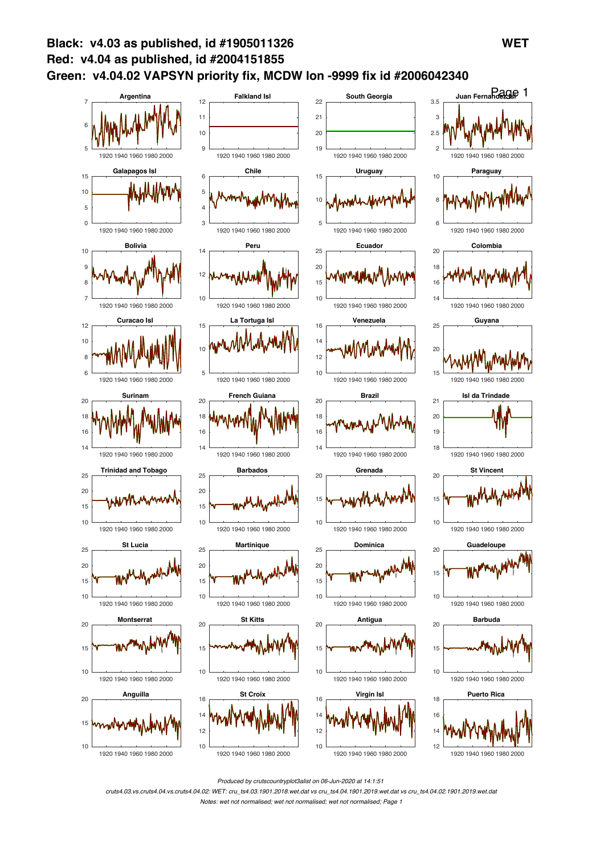

*Produced by crutscountryplot3alist on 06-Jun-2020 at 14:1:51*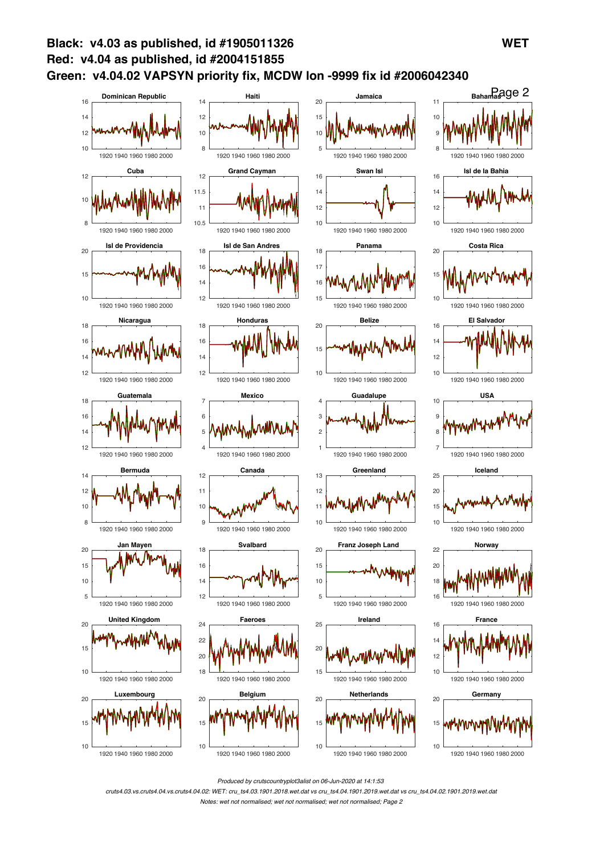

*Produced by crutscountryplot3alist on 06-Jun-2020 at 14:1:53*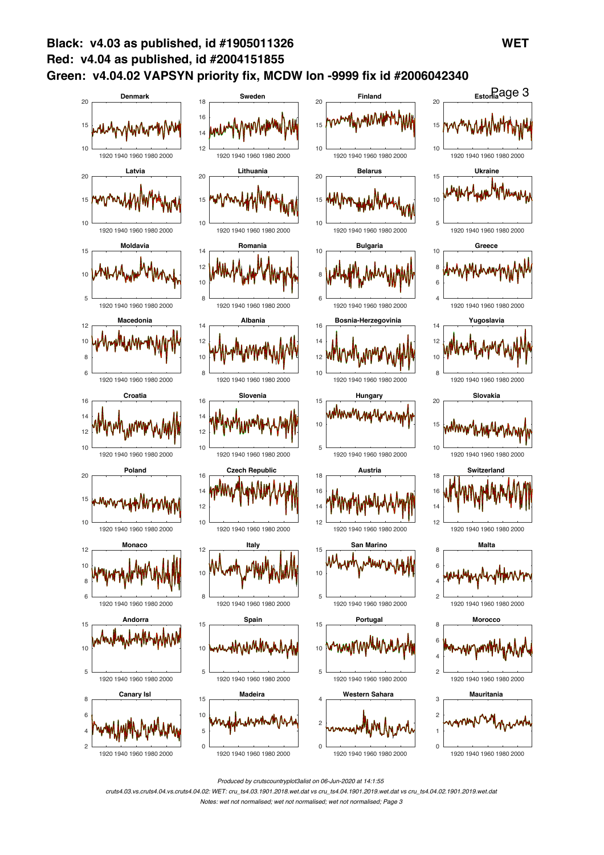

*Produced by crutscountryplot3alist on 06-Jun-2020 at 14:1:55*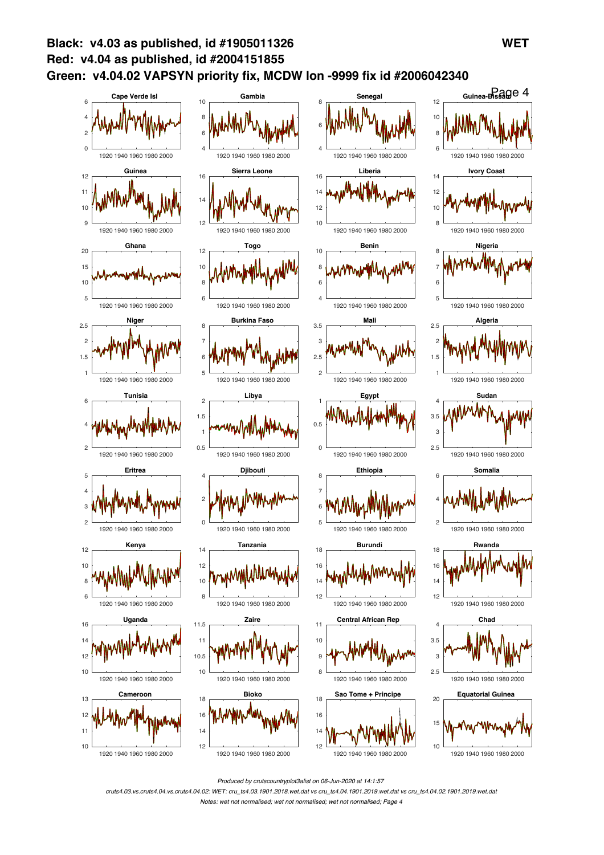

*Produced by crutscountryplot3alist on 06-Jun-2020 at 14:1:57*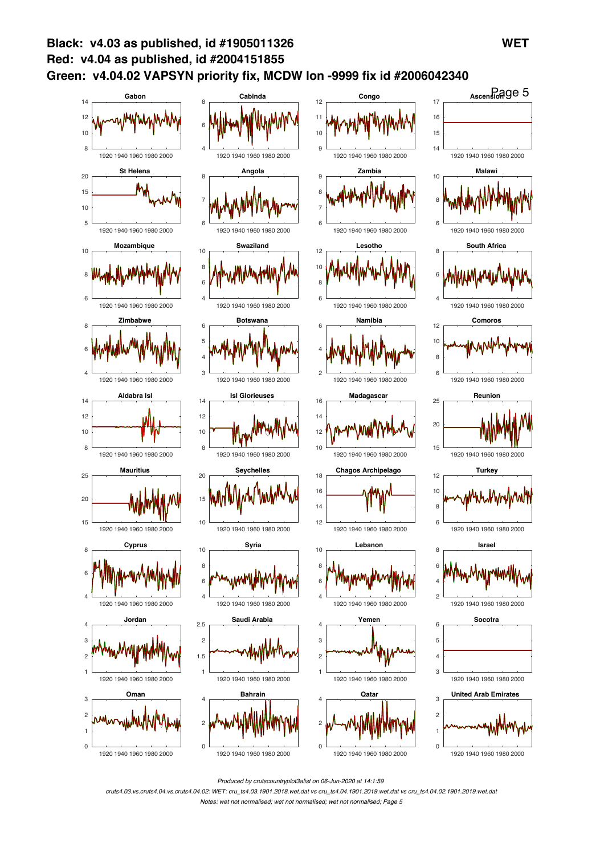

*Produced by crutscountryplot3alist on 06-Jun-2020 at 14:1:59*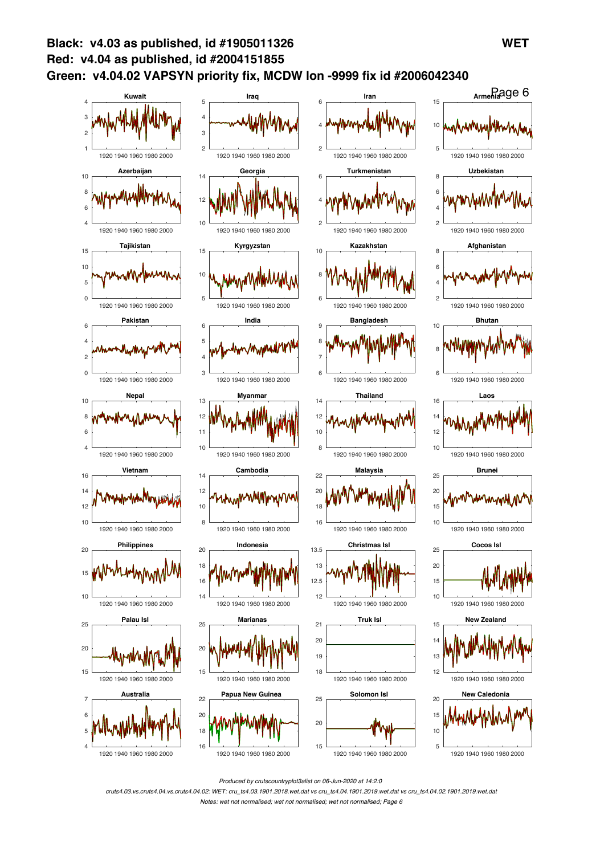

*Produced by crutscountryplot3alist on 06-Jun-2020 at 14:2:0*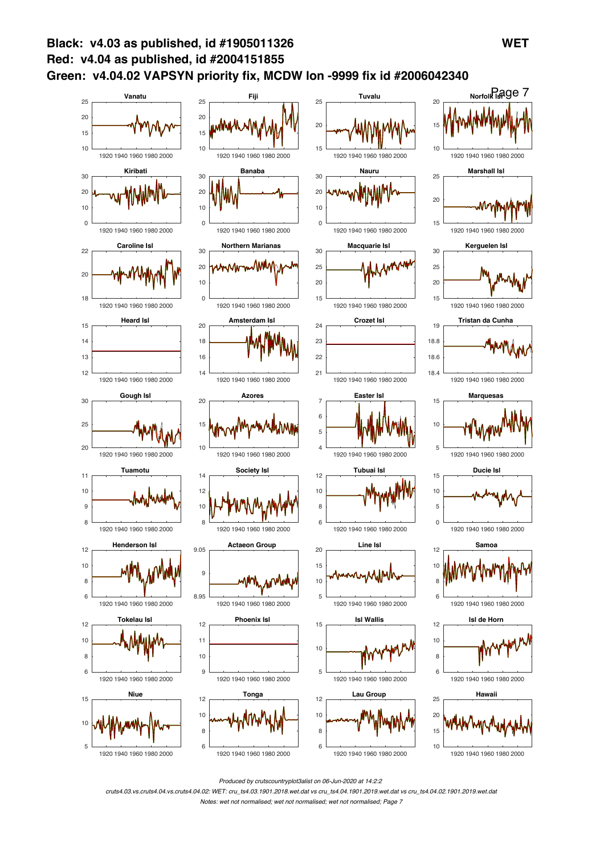

*Produced by crutscountryplot3alist on 06-Jun-2020 at 14:2:2*